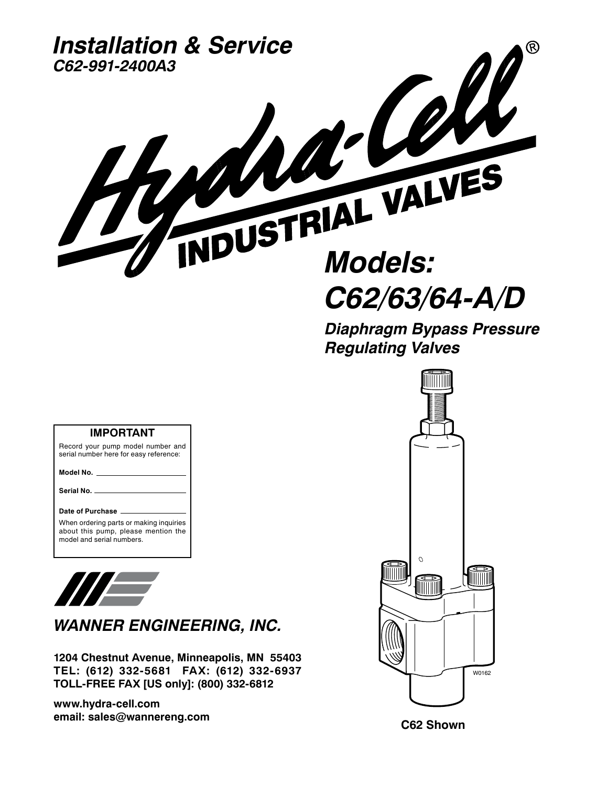

**Diaphragm Bypass Pressure Regulating Valves**



#### Record your pump model number and serial number here for easy reference:

**IMPORTANT**

**Model No.**

**Serial No.**

#### **Date of Purchase**

When ordering parts or making inquiries about this pump, please mention the model and serial numbers.



**WANNER ENGINEERING, INC.**

**1204 Chestnut Avenue, Minneapolis, MN 55403 TEL: (612) 332-5681 FAX: (612) 332-6937 TOLL-FREE FAX [US only]: (800) 332-6812** 

**www.hydra-cell.com email: sales@wannereng.com**

**C62 Shown**

W0162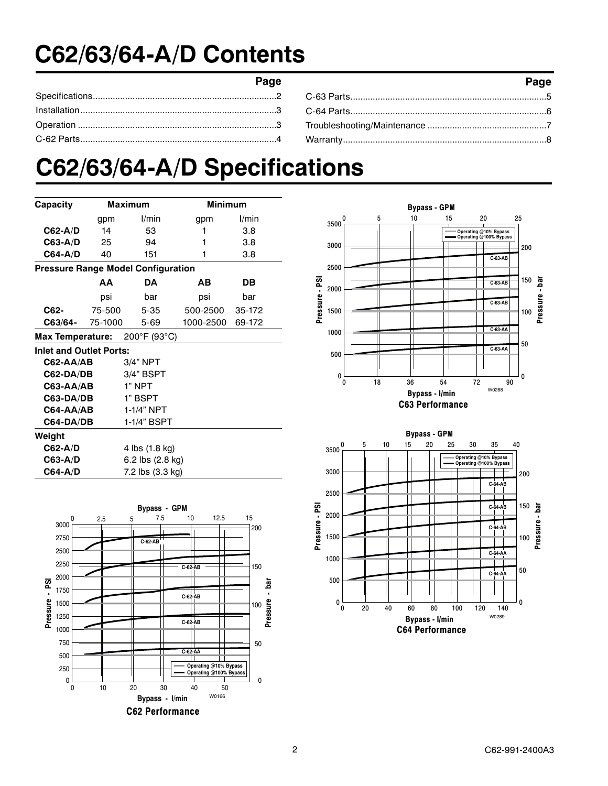## **C62/63/64-A/D Contents**

| Page | Page |
|------|------|
|      |      |
|      |      |
|      |      |
|      |      |

## **C62/63/64-A/D Specifications**

| Capacity                                  | <b>Maximum</b> |                  | <b>Minimum</b> |        |
|-------------------------------------------|----------------|------------------|----------------|--------|
|                                           | gpm            | l/min            | gpm            | l/min  |
| $C62-A/D$                                 | 14             | 53               | 1              | 3.8    |
| C63-A/D                                   | 25             | 94               | 1              | 3.8    |
| C64-A/D                                   | 40             | 151              | 1              | 3.8    |
| <b>Pressure Range Model Configuration</b> |                |                  |                |        |
|                                           | ΔА             | <b>DA</b>        | AВ             | DВ     |
|                                           | psi            | bar              | psi            | bar    |
| C62-                                      | 75-500         | $5 - 35$         | 500-2500       | 35-172 |
| C63/64-                                   | 75-1000        | $5 - 69$         | 1000-2500      | 69-172 |
| 200°F (93°C)<br>Max Temperature:          |                |                  |                |        |
| <b>Inlet and Outlet Ports:</b>            |                |                  |                |        |
| C62-AA/AB                                 |                | 3/4" NPT         |                |        |
| 3/4" BSPT<br>C62-DA/DB                    |                |                  |                |        |
| <b>C63-AA/AB</b>                          |                | 1" NPT           |                |        |
| C63-DA/DB                                 |                | 1" BSPT          |                |        |
| C64-AA/AB                                 |                | 1-1/4" NPT       |                |        |
| C64-DA/DB                                 |                | 1-1/4" BSPT      |                |        |
| Weight                                    |                |                  |                |        |
| C62-A/D                                   |                | 4 lbs (1.8 kg)   |                |        |
| C63-A/D                                   |                | 6.2 lbs (2.8 kg) |                |        |
| C64-A/D                                   |                | 7.2 lbs (3.3 kg) |                |        |





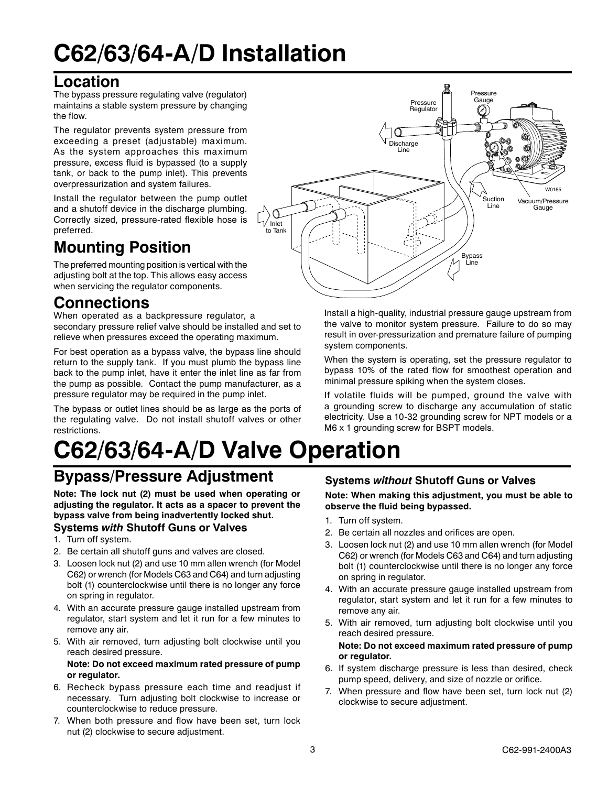## **C62/63/64-A/D Installation**

### **Location**

The bypass pressure regulating valve (regulator) maintains a stable system pressure by changing the flow.

The regulator prevents system pressure from exceeding a preset (adjustable) maximum. As the system approaches this maximum pressure, excess fluid is bypassed (to a supply tank, or back to the pump inlet). This prevents overpressurization and system failures.

Install the regulator between the pump outlet and a shutoff device in the discharge plumbing. Correctly sized, pressure-rated flexible hose is preferred.

### **Mounting Position**

The preferred mounting position is vertical with the adjusting bolt at the top. This allows easy access when servicing the regulator components.

### **Connections**

When operated as a backpressure regulator, a secondary pressure relief valve should be installed and set to relieve when pressures exceed the operating maximum.

For best operation as a bypass valve, the bypass line should return to the supply tank. If you must plumb the bypass line back to the pump inlet, have it enter the inlet line as far from the pump as possible. Contact the pump manufacturer, as a pressure regulator may be required in the pump inlet.

The bypass or outlet lines should be as large as the ports of the regulating valve. Do not install shutoff valves or other restrictions.

# **C62/63/64-A/D Valve Operation**

### **Bypass/Pressure Adjustment**

**Note: The lock nut (2) must be used when operating or adjusting the regulator. It acts as a spacer to prevent the bypass valve from being inadvertently locked shut. Systems with Shutoff Guns or Valves**

- 1. Turn off system.
- 2. Be certain all shutoff guns and valves are closed.
- 3. Loosen lock nut (2) and use 10 mm allen wrench (for Model C62) or wrench (for Models C63 and C64) and turn adjusting bolt (1) counterclockwise until there is no longer any force on spring in regulator.
- 4. With an accurate pressure gauge installed upstream from regulator, start system and let it run for a few minutes to remove any air.
- 5. With air removed, turn adjusting bolt clockwise until you reach desired pressure.

#### **Note: Do not exceed maximum rated pressure of pump or regulator.**

- 6. Recheck bypass pressure each time and readjust if necessary. Turn adjusting bolt clockwise to increase or counterclockwise to reduce pressure.
- 7. When both pressure and flow have been set, turn lock nut (2) clockwise to secure adjustment.



Install a high-quality, industrial pressure gauge upstream from the valve to monitor system pressure. Failure to do so may result in over-pressurization and premature failure of pumping system components.

When the system is operating, set the pressure regulator to bypass 10% of the rated flow for smoothest operation and minimal pressure spiking when the system closes.

If volatile fluids will be pumped, ground the valve with a grounding screw to discharge any accumulation of static electricity. Use a 10-32 grounding screw for NPT models or a M6 x 1 grounding screw for BSPT models.

### **Systems without Shutoff Guns or Valves**

**Note: When making this adjustment, you must be able to observe the fluid being bypassed.**

- 1. Turn off system.
- 2. Be certain all nozzles and orifices are open.
- 3. Loosen lock nut (2) and use 10 mm allen wrench (for Model C62) or wrench (for Models C63 and C64) and turn adjusting bolt (1) counterclockwise until there is no longer any force on spring in regulator.
- 4. With an accurate pressure gauge installed upstream from regulator, start system and let it run for a few minutes to remove any air.
- 5. With air removed, turn adjusting bolt clockwise until you reach desired pressure.

#### **Note: Do not exceed maximum rated pressure of pump or regulator.**

- 6. If system discharge pressure is less than desired, check pump speed, delivery, and size of nozzle or orifice.
- 7. When pressure and flow have been set, turn lock nut (2) clockwise to secure adjustment.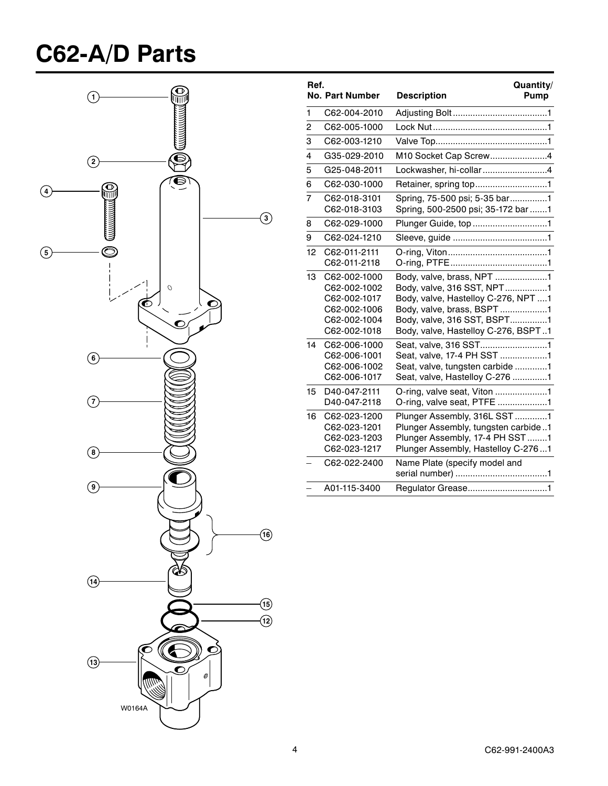## **C62-A/D Parts**



| Ref.           | <b>No. Part Number</b>                                                                       | Quantity/<br><b>Description</b><br><b>Pump</b>                                                                                                                                                     |
|----------------|----------------------------------------------------------------------------------------------|----------------------------------------------------------------------------------------------------------------------------------------------------------------------------------------------------|
| 1              | C62-004-2010                                                                                 |                                                                                                                                                                                                    |
| 2              | C62-005-1000                                                                                 |                                                                                                                                                                                                    |
| 3              | C62-003-1210                                                                                 |                                                                                                                                                                                                    |
| 4              | G35-029-2010                                                                                 | M10 Socket Cap Screw4                                                                                                                                                                              |
| 5              | G25-048-2011                                                                                 | Lockwasher, hi-collar4                                                                                                                                                                             |
| 6              | C62-030-1000                                                                                 | Retainer, spring top1                                                                                                                                                                              |
| $\overline{7}$ | C62-018-3101<br>C62-018-3103                                                                 | Spring, 75-500 psi; 5-35 bar1<br>Spring, 500-2500 psi; 35-172 bar 1                                                                                                                                |
| 8              | C62-029-1000                                                                                 | Plunger Guide, top 1                                                                                                                                                                               |
| 9              | C62-024-1210                                                                                 |                                                                                                                                                                                                    |
| 12             | C62-011-2111<br>C62-011-2118                                                                 |                                                                                                                                                                                                    |
| 13             | C62-002-1000<br>C62-002-1002<br>C62-002-1017<br>C62-002-1006<br>C62-002-1004<br>C62-002-1018 | Body, valve, brass, NPT 1<br>Body, valve, 316 SST, NPT1<br>Body, valve, Hastelloy C-276, NPT 1<br>Body, valve, brass, BSPT 1<br>Body, valve, 316 SST, BSPT1<br>Body, valve, Hastelloy C-276, BSPT1 |
| 14             | C62-006-1000<br>C62-006-1001<br>C62-006-1002<br>C62-006-1017                                 | Seat, valve, 316 SST1<br>Seat, valve, 17-4 PH SST 1<br>Seat, valve, tungsten carbide 1<br>Seat, valve, Hastelloy C-276 1                                                                           |
| 15             | D40-047-2111<br>D40-047-2118                                                                 | O-ring, valve seat, Viton 1<br>O-ring, valve seat, PTFE 1                                                                                                                                          |
| 16             | C62-023-1200<br>C62-023-1201<br>C62-023-1203<br>C62-023-1217                                 | Plunger Assembly, 316L SST1<br>Plunger Assembly, tungsten carbide1<br>Plunger Assembly, 17-4 PH SST 1<br>Plunger Assembly, Hastelloy C-2761                                                        |
|                | C62-022-2400                                                                                 | Name Plate (specify model and                                                                                                                                                                      |
|                | A01-115-3400                                                                                 |                                                                                                                                                                                                    |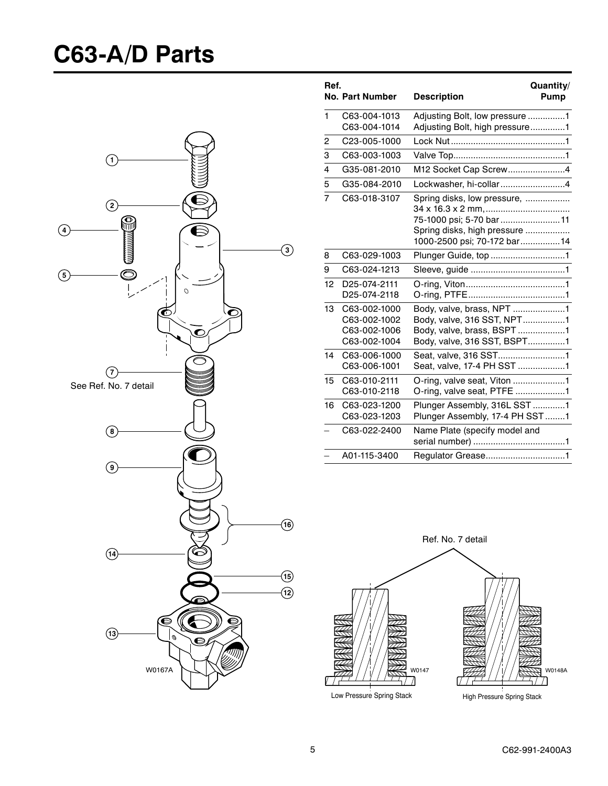## **C63-A/D Parts**



| Ref. | <b>No. Part Number</b>                                       | Quantity/<br><b>Description</b><br>Pump                                                                                |
|------|--------------------------------------------------------------|------------------------------------------------------------------------------------------------------------------------|
| 1    | C63-004-1013<br>C63-004-1014                                 | Adjusting Bolt, low pressure 1<br>Adjusting Bolt, high pressure1                                                       |
| 2    | C23-005-1000                                                 |                                                                                                                        |
| 3    | C63-003-1003                                                 |                                                                                                                        |
| 4    | G35-081-2010                                                 | M12 Socket Cap Screw4                                                                                                  |
| 5    | G35-084-2010                                                 | Lockwasher, hi-collar4                                                                                                 |
| 7    | C63-018-3107                                                 | Spring disks, low pressure,<br>75-1000 psi; 5-70 bar 11<br>Spring disks, high pressure<br>1000-2500 psi; 70-172 bar 14 |
| 8    | C63-029-1003                                                 | Plunger Guide, top 1                                                                                                   |
| 9    | C63-024-1213                                                 |                                                                                                                        |
| 12   | D25-074-2111<br>D25-074-2118                                 |                                                                                                                        |
| 13   | C63-002-1000<br>C63-002-1002<br>C63-002-1006<br>C63-002-1004 | Body, valve, 316 SST, NPT1<br>Body, valve, brass, BSPT 1<br>Body, valve, 316 SST, BSPT1                                |
| 14   | C63-006-1000<br>C63-006-1001                                 | Seat, valve, 316 SST1<br>Seat, valve, 17-4 PH SST 1                                                                    |
| 15   | C63-010-2111<br>C63-010-2118                                 | O-ring, valve seat, Viton 1<br>O-ring, valve seat, PTFE 1                                                              |
| 16   | C63-023-1200<br>C63-023-1203                                 | Plunger Assembly, 316L SST1<br>Plunger Assembly, 17-4 PH SST 1                                                         |
|      | C63-022-2400                                                 | Name Plate (specify model and                                                                                          |
|      | A01-115-3400                                                 | Regulator Grease1                                                                                                      |

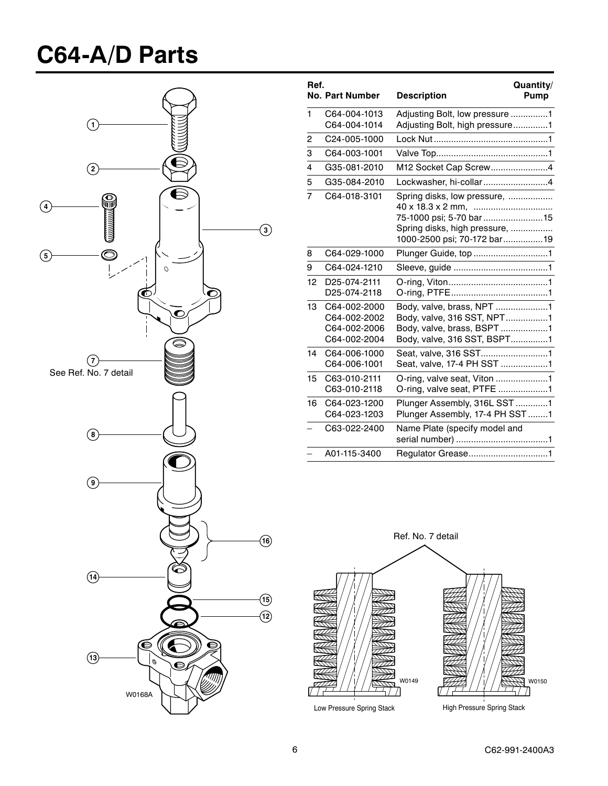## **C64-A/D Parts**



| Ref.                     | <b>No. Part Number</b>                                       | Quantity/<br><b>Description</b><br><b>Pump</b>                                                                         |
|--------------------------|--------------------------------------------------------------|------------------------------------------------------------------------------------------------------------------------|
| 1                        | C64-004-1013<br>C64-004-1014                                 | Adjusting Bolt, low pressure 1<br>Adjusting Bolt, high pressure1                                                       |
| 2                        | C24-005-1000                                                 |                                                                                                                        |
| 3                        | C64-003-1001                                                 |                                                                                                                        |
| 4                        | G35-081-2010                                                 | M12 Socket Cap Screw4                                                                                                  |
| 5                        | G35-084-2010                                                 | Lockwasher, hi-collar4                                                                                                 |
| $\overline{7}$           | C64-018-3101                                                 | Spring disks, low pressure,<br>75-1000 psi; 5-70 bar 15<br>Spring disks, high pressure,<br>1000-2500 psi; 70-172 bar19 |
| 8                        | C64-029-1000                                                 | Plunger Guide, top 1                                                                                                   |
| 9                        | C64-024-1210                                                 |                                                                                                                        |
| 12                       | D25-074-2111<br>D25-074-2118                                 |                                                                                                                        |
| 13                       | C64-002-2000<br>C64-002-2002<br>C64-002-2006<br>C64-002-2004 | Body, valve, brass, NPT 1<br>Body, valve, 316 SST, NPT1<br>Body, valve, brass, BSPT 1<br>Body, valve, 316 SST, BSPT1   |
| 14                       | C64-006-1000<br>C64-006-1001                                 | Seat, valve, 316 SST1<br>Seat, valve, 17-4 PH SST 1                                                                    |
| 15                       | C63-010-2111<br>C63-010-2118                                 | O-ring, valve seat, Viton 1<br>O-ring, valve seat, PTFE 1                                                              |
| 16                       | C64-023-1200<br>C64-023-1203                                 | Plunger Assembly, 316L SST 1<br>Plunger Assembly, 17-4 PH SST 1                                                        |
|                          | C63-022-2400                                                 | Name Plate (specify model and                                                                                          |
| $\overline{\phantom{0}}$ | A01-115-3400                                                 | Regulator Grease1                                                                                                      |

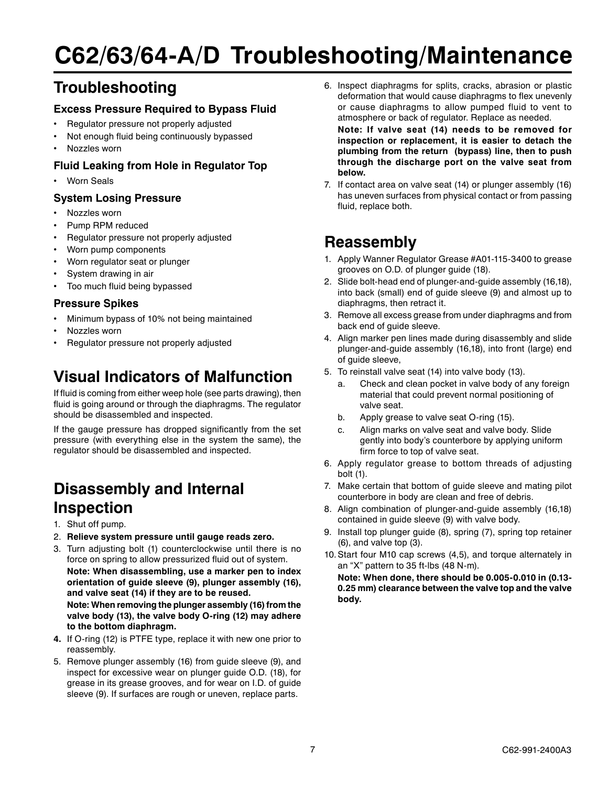## **C62/63/64-A/D Troubleshooting/Maintenance**

### **Troubleshooting**

#### **Excess Pressure Required to Bypass Fluid**

- Regulator pressure not properly adjusted
- Not enough fluid being continuously bypassed
- Nozzles worn

### **Fluid Leaking from Hole in Regulator Top**

• Worn Seals

#### **System Losing Pressure**

- Nozzles worn
- Pump RPM reduced
- Regulator pressure not properly adjusted
- Worn pump components
- Worn regulator seat or plunger
- System drawing in air
- Too much fluid being bypassed

#### **Pressure Spikes**

- Minimum bypass of 10% not being maintained
- Nozzles worn
- Regulator pressure not properly adjusted

### **Visual Indicators of Malfunction**

If fluid is coming from either weep hole (see parts drawing), then fluid is going around or through the diaphragms. The regulator should be disassembled and inspected.

If the gauge pressure has dropped significantly from the set pressure (with everything else in the system the same), the regulator should be disassembled and inspected.

### **Disassembly and Internal Inspection**

- 1. Shut off pump.
- 2. **Relieve system pressure until gauge reads zero.**
- 3. Turn adjusting bolt (1) counterclockwise until there is no force on spring to allow pressurized fluid out of system. **Note: When disassembling, use a marker pen to index orientation of guide sleeve (9), plunger assembly (16), and valve seat (14) if they are to be reused. Note: When removing the plunger assembly (16) from the**

**valve body (13), the valve body O-ring (12) may adhere to the bottom diaphragm.**

- **4.** If O-ring (12) is PTFE type, replace it with new one prior to reassembly.
- 5. Remove plunger assembly (16) from guide sleeve (9), and inspect for excessive wear on plunger guide O.D. (18), for grease in its grease grooves, and for wear on I.D. of guide sleeve (9). If surfaces are rough or uneven, replace parts.

6. Inspect diaphragms for splits, cracks, abrasion or plastic deformation that would cause diaphragms to flex unevenly or cause diaphragms to allow pumped fluid to vent to atmosphere or back of regulator. Replace as needed.

**Note: If valve seat (14) needs to be removed for inspection or replacement, it is easier to detach the plumbing from the return (bypass) line, then to push through the discharge port on the valve seat from below.**

7. If contact area on valve seat (14) or plunger assembly (16) has uneven surfaces from physical contact or from passing fluid, replace both.

### **Reassembly**

- 1. Apply Wanner Regulator Grease #A01-115-3400 to grease grooves on O.D. of plunger guide (18).
- 2. Slide bolt-head end of plunger-and-guide assembly (16,18), into back (small) end of guide sleeve (9) and almost up to diaphragms, then retract it.
- 3. Remove all excess grease from under diaphragms and from back end of guide sleeve.
- 4. Align marker pen lines made during disassembly and slide plunger-and-guide assembly (16,18), into front (large) end of guide sleeve,
- 5. To reinstall valve seat (14) into valve body (13).
	- a. Check and clean pocket in valve body of any foreign material that could prevent normal positioning of valve seat.
	- b. Apply grease to valve seat O-ring (15).
	- c. Align marks on valve seat and valve body. Slide gently into body's counterbore by applying uniform firm force to top of valve seat.
- 6. Apply regulator grease to bottom threads of adjusting bolt (1).
- 7. Make certain that bottom of guide sleeve and mating pilot counterbore in body are clean and free of debris.
- 8. Align combination of plunger-and-guide assembly (16,18) contained in guide sleeve (9) with valve body.
- 9. Install top plunger guide (8), spring (7), spring top retainer (6), and valve top (3).
- 10.Start four M10 cap screws (4,5), and torque alternately in an "X" pattern to 35 ft-lbs (48 N-m).

**Note: When done, there should be 0.005-0.010 in (0.13- 0.25 mm) clearance between the valve top and the valve body.**